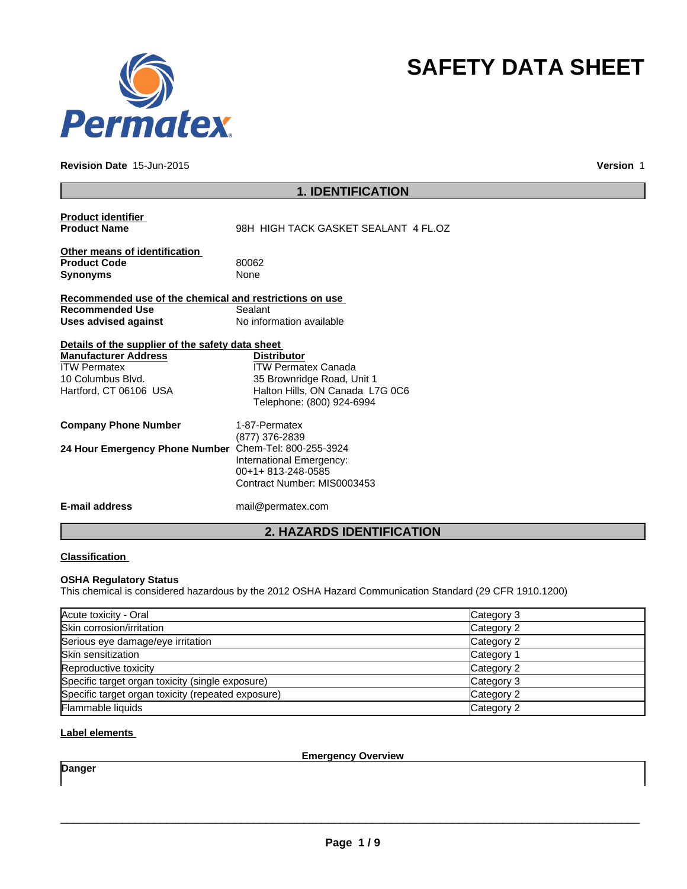

#### **Revision Date** 15-Jun-2015

**Version** 1

**SAFETY DATA SHEET**

| <b>1. IDENTIFICATION</b>                                                                                                                              |                                                                                                                                                |  |
|-------------------------------------------------------------------------------------------------------------------------------------------------------|------------------------------------------------------------------------------------------------------------------------------------------------|--|
| <b>Product identifier</b><br><b>Product Name</b>                                                                                                      | 98H HIGH TACK GASKET SEALANT 4 FL.OZ                                                                                                           |  |
| Other means of identification<br><b>Product Code</b><br><b>Synonyms</b>                                                                               | 80062<br>None                                                                                                                                  |  |
| Recommended use of the chemical and restrictions on use<br><b>Recommended Use</b><br>Uses advised against                                             | Sealant<br>No information available                                                                                                            |  |
| Details of the supplier of the safety data sheet<br><b>Manufacturer Address</b><br><b>ITW Permatex</b><br>10 Columbus Blvd.<br>Hartford, CT 06106 USA | <b>Distributor</b><br><b>ITW Permatex Canada</b><br>35 Brownridge Road, Unit 1<br>Halton Hills, ON Canada L7G 0C6<br>Telephone: (800) 924-6994 |  |
| <b>Company Phone Number</b>                                                                                                                           | 1-87-Permatex<br>(877) 376-2839                                                                                                                |  |
| 24 Hour Emergency Phone Number Chem-Tel: 800-255-3924                                                                                                 | International Emergency:<br>00+1+813-248-0585<br>Contract Number: MIS0003453                                                                   |  |
| E-mail address                                                                                                                                        | mail@permatex.com                                                                                                                              |  |
|                                                                                                                                                       | <b>2. HAZARDS IDENTIFICATION</b>                                                                                                               |  |

# **Classification**

# **OSHA Regulatory Status**

This chemical is considered hazardous by the 2012 OSHA Hazard Communication Standard (29 CFR 1910.1200)

| Acute toxicity - Oral                              | Category 3 |
|----------------------------------------------------|------------|
| Skin corrosion/irritation                          | Category 2 |
| Serious eye damage/eye irritation                  | Category 2 |
| Skin sensitization                                 | Category 1 |
| Reproductive toxicity                              | Category 2 |
| Specific target organ toxicity (single exposure)   | Category 3 |
| Specific target organ toxicity (repeated exposure) | Category 2 |
| Flammable liquids                                  | Category 2 |

# **Label elements**

**Emergency Overview**

**Danger**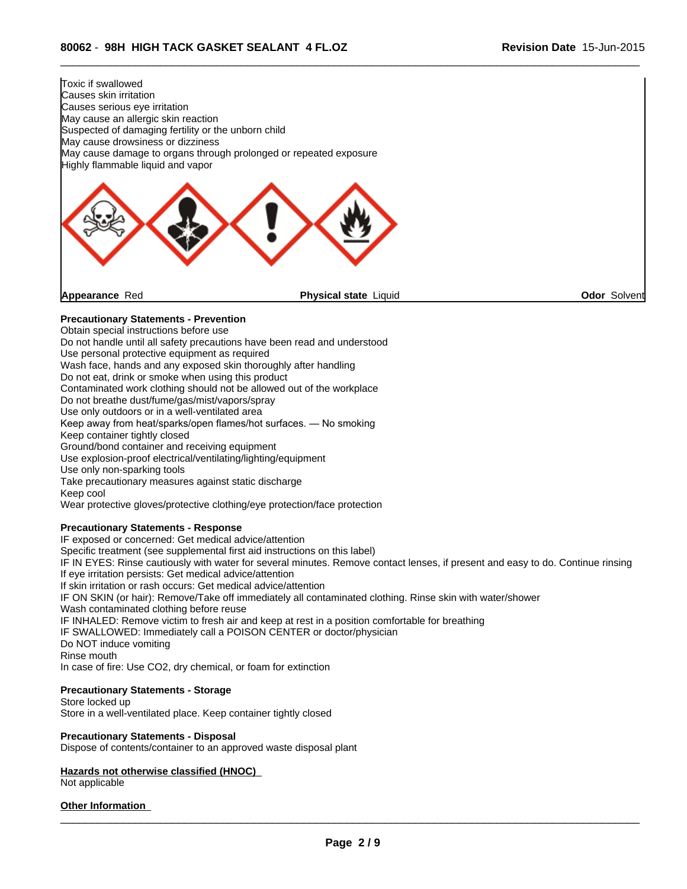

 $\overline{\phantom{a}}$  ,  $\overline{\phantom{a}}$  ,  $\overline{\phantom{a}}$  ,  $\overline{\phantom{a}}$  ,  $\overline{\phantom{a}}$  ,  $\overline{\phantom{a}}$  ,  $\overline{\phantom{a}}$  ,  $\overline{\phantom{a}}$  ,  $\overline{\phantom{a}}$  ,  $\overline{\phantom{a}}$  ,  $\overline{\phantom{a}}$  ,  $\overline{\phantom{a}}$  ,  $\overline{\phantom{a}}$  ,  $\overline{\phantom{a}}$  ,  $\overline{\phantom{a}}$  ,  $\overline{\phantom{a}}$ 

Contaminated work clothing should not be allowed out of the workplace

Do not breathe dust/fume/gas/mist/vapors/spray

Use only outdoors or in a well-ventilated area

Keep away from heat/sparks/open flames/hot surfaces. — No smoking

Keep container tightly closed

Ground/bond container and receiving equipment

Use explosion-proof electrical/ventilating/lighting/equipment

Use only non-sparking tools

Take precautionary measures against static discharge

Keep cool

Wear protective gloves/protective clothing/eye protection/face protection

## **Precautionary Statements - Response**

IF exposed or concerned: Get medical advice/attention

Specific treatment (see supplemental first aid instructions on this label)

IF IN EYES: Rinse cautiously with water for several minutes. Remove contact lenses, if present and easy to do. Continue rinsing If eye irritation persists: Get medical advice/attention

If skin irritation or rash occurs: Get medical advice/attention

IF ON SKIN (or hair): Remove/Take off immediately all contaminated clothing. Rinse skin with water/shower

Wash contaminated clothing before reuse

IF INHALED: Remove victim to fresh air and keep at rest in a position comfortable for breathing

IF SWALLOWED: Immediately call a POISON CENTER or doctor/physician

Do NOT induce vomiting

Rinse mouth

In case of fire: Use CO2, dry chemical, or foam for extinction

## **Precautionary Statements - Storage**

Store locked up Store in a well-ventilated place. Keep container tightly closed

#### **Precautionary Statements - Disposal**

Dispose of contents/container to an approved waste disposal plant

# **Hazards not otherwise classified (HNOC)**

Not applicable

#### **Other Information**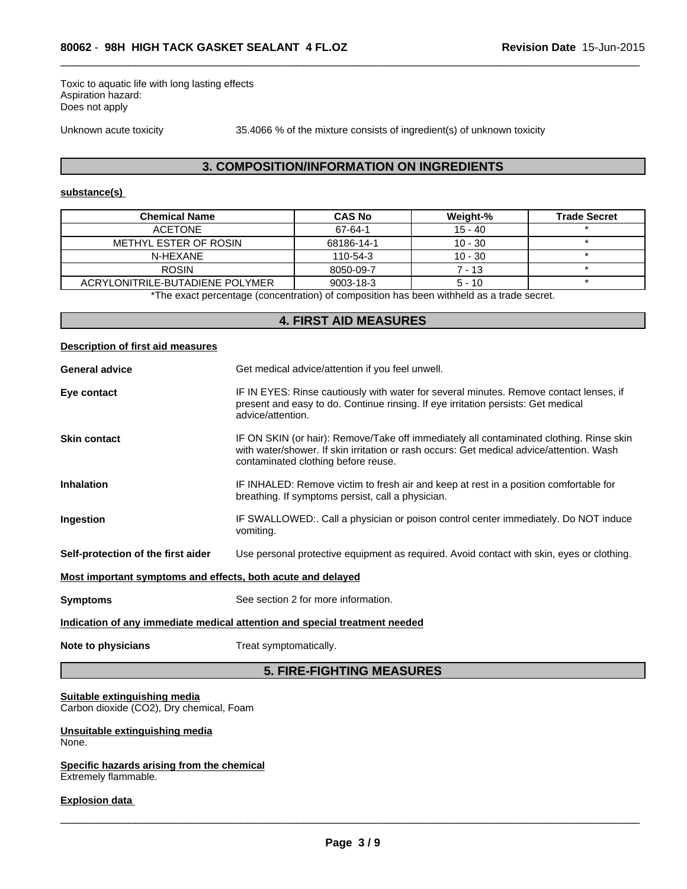Toxic to aquatic life with long lasting effects Aspiration hazard: Does not apply

Unknown acute toxicity 35.4066 % of the mixture consists of ingredient(s) of unknown toxicity

 $\overline{\phantom{a}}$  ,  $\overline{\phantom{a}}$  ,  $\overline{\phantom{a}}$  ,  $\overline{\phantom{a}}$  ,  $\overline{\phantom{a}}$  ,  $\overline{\phantom{a}}$  ,  $\overline{\phantom{a}}$  ,  $\overline{\phantom{a}}$  ,  $\overline{\phantom{a}}$  ,  $\overline{\phantom{a}}$  ,  $\overline{\phantom{a}}$  ,  $\overline{\phantom{a}}$  ,  $\overline{\phantom{a}}$  ,  $\overline{\phantom{a}}$  ,  $\overline{\phantom{a}}$  ,  $\overline{\phantom{a}}$ 

# **3. COMPOSITION/INFORMATION ON INGREDIENTS**

#### **substance(s)**

| <b>Chemical Name</b>                                                                     | <b>CAS No</b>   | Weight-%  | <b>Trade Secret</b> |  |
|------------------------------------------------------------------------------------------|-----------------|-----------|---------------------|--|
| ACFTONE                                                                                  | 67-64-1         | $15 - 40$ |                     |  |
| METHYL ESTER OF ROSIN                                                                    | 68186-14-1      | $10 - 30$ |                     |  |
| N-HEXANE                                                                                 | 110-54-3        | $10 - 30$ |                     |  |
| <b>ROSIN</b>                                                                             | 8050-09-7       | 7 - 13    |                     |  |
| ACRYLONITRILE-BUTADIENE POLYMER                                                          | $9003 - 18 - 3$ | $5 - 10$  |                     |  |
| *The exact perceptage (conceptration) of composition has been withheld as a trade secret |                 |           |                     |  |

The exact percentage (concentration) of composition has been withheld as a trade secret.

# **4. FIRST AID MEASURES**

## **Description of first aid measures**

| IF IN EYES: Rinse cautiously with water for several minutes. Remove contact lenses, if<br>Eye contact<br>present and easy to do. Continue rinsing. If eye irritation persists: Get medical<br>advice/attention.<br>IF ON SKIN (or hair): Remove/Take off immediately all contaminated clothing. Rinse skin<br><b>Skin contact</b><br>with water/shower. If skin irritation or rash occurs: Get medical advice/attention. Wash<br>contaminated clothing before reuse.<br>IF INHALED: Remove victim to fresh air and keep at rest in a position comfortable for<br><b>Inhalation</b><br>breathing. If symptoms persist, call a physician.<br>Ingestion<br>IF SWALLOWED:. Call a physician or poison control center immediately. Do NOT induce<br>vomiting.<br>Self-protection of the first aider<br>Use personal protective equipment as required. Avoid contact with skin, eyes or clothing. |  |  |
|---------------------------------------------------------------------------------------------------------------------------------------------------------------------------------------------------------------------------------------------------------------------------------------------------------------------------------------------------------------------------------------------------------------------------------------------------------------------------------------------------------------------------------------------------------------------------------------------------------------------------------------------------------------------------------------------------------------------------------------------------------------------------------------------------------------------------------------------------------------------------------------------|--|--|
|                                                                                                                                                                                                                                                                                                                                                                                                                                                                                                                                                                                                                                                                                                                                                                                                                                                                                             |  |  |
|                                                                                                                                                                                                                                                                                                                                                                                                                                                                                                                                                                                                                                                                                                                                                                                                                                                                                             |  |  |
|                                                                                                                                                                                                                                                                                                                                                                                                                                                                                                                                                                                                                                                                                                                                                                                                                                                                                             |  |  |
|                                                                                                                                                                                                                                                                                                                                                                                                                                                                                                                                                                                                                                                                                                                                                                                                                                                                                             |  |  |
|                                                                                                                                                                                                                                                                                                                                                                                                                                                                                                                                                                                                                                                                                                                                                                                                                                                                                             |  |  |
| Most important symptoms and effects, both acute and delayed                                                                                                                                                                                                                                                                                                                                                                                                                                                                                                                                                                                                                                                                                                                                                                                                                                 |  |  |
| See section 2 for more information.<br><b>Symptoms</b>                                                                                                                                                                                                                                                                                                                                                                                                                                                                                                                                                                                                                                                                                                                                                                                                                                      |  |  |
| Indication of any immediate medical attention and special treatment needed                                                                                                                                                                                                                                                                                                                                                                                                                                                                                                                                                                                                                                                                                                                                                                                                                  |  |  |
| Note to physicians<br>Treat symptomatically.                                                                                                                                                                                                                                                                                                                                                                                                                                                                                                                                                                                                                                                                                                                                                                                                                                                |  |  |
|                                                                                                                                                                                                                                                                                                                                                                                                                                                                                                                                                                                                                                                                                                                                                                                                                                                                                             |  |  |

# **5. FIRE-FIGHTING MEASURES**

# **Suitable extinguishing media**

Carbon dioxide (CO2), Dry chemical, Foam

#### **Unsuitable extinguishing media** None.

#### **Specific hazards arising from the chemical** Extremely flammable.

## **Explosion data**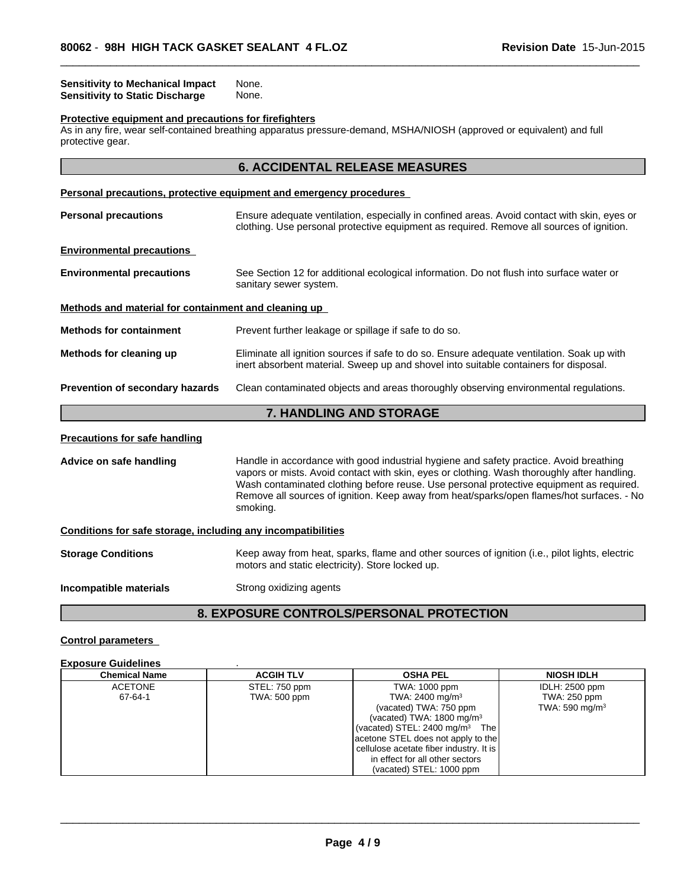#### **Sensitivity to Mechanical Impact** None. **Sensitivity to Static Discharge None.**

#### **Protective equipment and precautions for firefighters**

As in any fire, wear self-contained breathing apparatus pressure-demand, MSHA/NIOSH (approved or equivalent) and full protective gear.

# **6. ACCIDENTAL RELEASE MEASURES**

 $\overline{\phantom{a}}$  ,  $\overline{\phantom{a}}$  ,  $\overline{\phantom{a}}$  ,  $\overline{\phantom{a}}$  ,  $\overline{\phantom{a}}$  ,  $\overline{\phantom{a}}$  ,  $\overline{\phantom{a}}$  ,  $\overline{\phantom{a}}$  ,  $\overline{\phantom{a}}$  ,  $\overline{\phantom{a}}$  ,  $\overline{\phantom{a}}$  ,  $\overline{\phantom{a}}$  ,  $\overline{\phantom{a}}$  ,  $\overline{\phantom{a}}$  ,  $\overline{\phantom{a}}$  ,  $\overline{\phantom{a}}$ 

# **Personal precautions, protective equipment and emergency procedures Personal precautions** Ensure adequate ventilation, especially in confined areas. Avoid contact with skin, eyes or clothing. Use personal protective equipment as required. Remove all sources of ignition. **Environmental precautions Environmental precautions** See Section 12 for additional ecological information. Do not flush into surface water or sanitary sewer system. **Methods and material for containment and cleaning up Methods for containment** Prevent further leakage or spillage if safe to do so. **Methods for cleaning up** Eliminate all ignition sources if safe to do so. Ensure adequate ventilation. Soak up with inert absorbent material. Sweep up and shovel into suitable containers for disposal. **Prevention of secondary hazards** Clean contaminated objects and areas thoroughly observing environmental regulations.

# **7. HANDLING AND STORAGE**

#### **Precautions for safe handling**

**Advice on safe handling** Handle in accordance with good industrial hygiene and safety practice. Avoid breathing vapors or mists. Avoid contact with skin, eyes or clothing. Wash thoroughly after handling. Wash contaminated clothing before reuse. Use personal protective equipment as required. Remove all sources of ignition. Keep away from heat/sparks/open flames/hot surfaces. - No smoking.

#### **Conditions for safe storage, including any incompatibilities**

**Storage Conditions** Keep away from heat, sparks, flame and other sources of ignition (i.e., pilot lights, electric motors and static electricity). Store locked up.

**Incompatible materials** Strong oxidizing agents

# **8. EXPOSURE CONTROLS/PERSONAL PROTECTION**

## **Control parameters**

#### **Exposure Guidelines** .

| <b>Chemical Name</b> | <b>ACGIH TLV</b> | <b>OSHA PEL</b>                           | <b>NIOSH IDLH</b> |
|----------------------|------------------|-------------------------------------------|-------------------|
| <b>ACETONE</b>       | STEL: 750 ppm    | TWA: 1000 ppm                             | IDLH: 2500 ppm    |
| 67-64-1              | TWA: 500 ppm     | TWA: 2400 mg/m <sup>3</sup>               | TWA: 250 ppm      |
|                      |                  | (vacated) TWA: 750 ppm                    | TWA: 590 mg/m $3$ |
|                      |                  | (vacated) TWA: $1800 \text{ mg/m}^3$      |                   |
|                      |                  | (vacated) STEL: $2400 \text{ mg/m}^3$ The |                   |
|                      |                  | acetone STEL does not apply to the        |                   |
|                      |                  | cellulose acetate fiber industry. It is   |                   |
|                      |                  | in effect for all other sectors           |                   |
|                      |                  | (vacated) STEL: 1000 ppm                  |                   |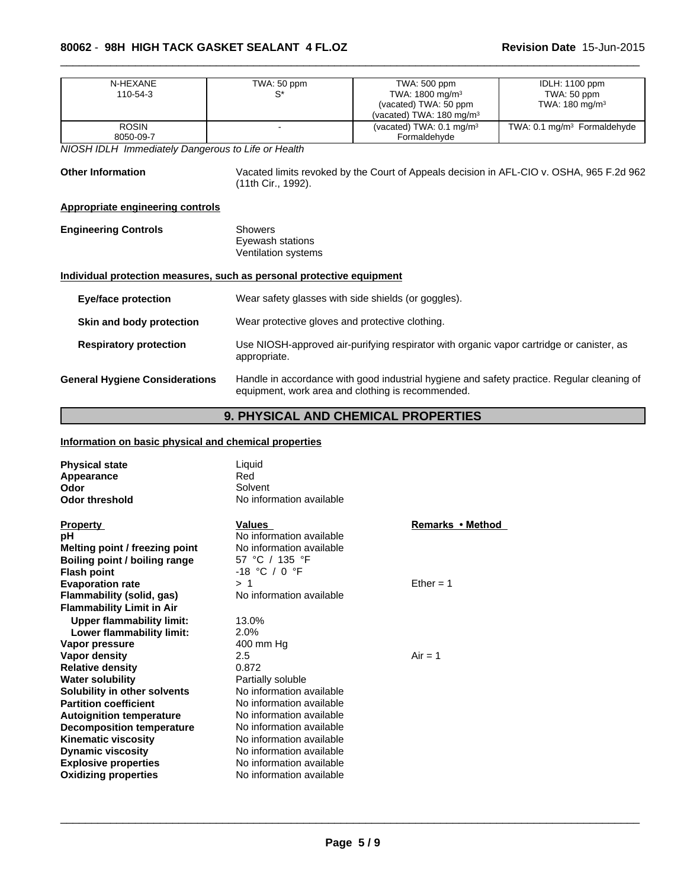# **80062** - **98H HIGH TACK GASKET SEALANT 4 FL.OZ**

| N-HEXANE                                                              | TWA: 50 ppm                                         | TWA: 500 ppm                                                                               | <b>IDLH: 1100 ppm</b>                   |
|-----------------------------------------------------------------------|-----------------------------------------------------|--------------------------------------------------------------------------------------------|-----------------------------------------|
| 110-54-3                                                              | $S^*$                                               | TWA: 1800 mg/m <sup>3</sup>                                                                | TWA: 50 ppm                             |
|                                                                       |                                                     | (vacated) TWA: 50 ppm                                                                      | TWA: $180 \text{ mg/m}^3$               |
|                                                                       |                                                     | (vacated) TWA: $180 \text{ mg/m}^3$                                                        |                                         |
| <b>ROSIN</b>                                                          |                                                     | (vacated) TWA: 0.1 mg/m <sup>3</sup>                                                       | TWA: 0.1 mg/m <sup>3</sup> Formaldehyde |
| 8050-09-7                                                             |                                                     | Formaldehyde                                                                               |                                         |
| NIOSH IDLH Immediately Dangerous to Life or Health                    |                                                     |                                                                                            |                                         |
| <b>Other Information</b>                                              |                                                     | Vacated limits revoked by the Court of Appeals decision in AFL-CIO v. OSHA, 965 F.2d 962   |                                         |
|                                                                       | (11th Cir., 1992).                                  |                                                                                            |                                         |
|                                                                       |                                                     |                                                                                            |                                         |
| <b>Appropriate engineering controls</b>                               |                                                     |                                                                                            |                                         |
| <b>Engineering Controls</b>                                           | <b>Showers</b>                                      |                                                                                            |                                         |
|                                                                       | Eyewash stations                                    |                                                                                            |                                         |
|                                                                       | Ventilation systems                                 |                                                                                            |                                         |
|                                                                       |                                                     |                                                                                            |                                         |
| Individual protection measures, such as personal protective equipment |                                                     |                                                                                            |                                         |
| <b>Eye/face protection</b>                                            | Wear safety glasses with side shields (or goggles). |                                                                                            |                                         |
|                                                                       |                                                     |                                                                                            |                                         |
| Skin and body protection                                              | Wear protective gloves and protective clothing.     |                                                                                            |                                         |
|                                                                       |                                                     |                                                                                            |                                         |
| <b>Respiratory protection</b>                                         |                                                     | Use NIOSH-approved air-purifying respirator with organic vapor cartridge or canister, as   |                                         |
|                                                                       | appropriate.                                        |                                                                                            |                                         |
| <b>General Hygiene Considerations</b>                                 |                                                     | Handle in accordance with good industrial hygiene and safety practice. Regular cleaning of |                                         |
|                                                                       |                                                     | equipment, work area and clothing is recommended.                                          |                                         |

 $\overline{\phantom{a}}$  ,  $\overline{\phantom{a}}$  ,  $\overline{\phantom{a}}$  ,  $\overline{\phantom{a}}$  ,  $\overline{\phantom{a}}$  ,  $\overline{\phantom{a}}$  ,  $\overline{\phantom{a}}$  ,  $\overline{\phantom{a}}$  ,  $\overline{\phantom{a}}$  ,  $\overline{\phantom{a}}$  ,  $\overline{\phantom{a}}$  ,  $\overline{\phantom{a}}$  ,  $\overline{\phantom{a}}$  ,  $\overline{\phantom{a}}$  ,  $\overline{\phantom{a}}$  ,  $\overline{\phantom{a}}$ 

# **9. PHYSICAL AND CHEMICAL PROPERTIES**

# **Information on basic physical and chemical properties**

| <b>Physical state</b>            | Liquid                   |                  |
|----------------------------------|--------------------------|------------------|
| Appearance                       | Red                      |                  |
| Odor                             | Solvent                  |                  |
| <b>Odor threshold</b>            | No information available |                  |
| <b>Property</b>                  | Values                   | Remarks • Method |
| рH                               | No information available |                  |
| Melting point / freezing point   | No information available |                  |
| Boiling point / boiling range    | 57 °C / 135 °F           |                  |
| <b>Flash point</b>               | $-18$ °C / 0 °F          |                  |
| <b>Evaporation rate</b>          | >1                       | Ether = $1$      |
| Flammability (solid, gas)        | No information available |                  |
| <b>Flammability Limit in Air</b> |                          |                  |
|                                  | 13.0%                    |                  |
| <b>Upper flammability limit:</b> |                          |                  |
| Lower flammability limit:        | 2.0%                     |                  |
| Vapor pressure                   | 400 mm Hg                |                  |
| Vapor density                    | 2.5                      | $Air = 1$        |
| <b>Relative density</b>          | 0.872                    |                  |
| <b>Water solubility</b>          | Partially soluble        |                  |
| Solubility in other solvents     | No information available |                  |
| <b>Partition coefficient</b>     | No information available |                  |
| <b>Autoignition temperature</b>  | No information available |                  |
| Decomposition temperature        | No information available |                  |
| <b>Kinematic viscosity</b>       | No information available |                  |
| <b>Dynamic viscosity</b>         | No information available |                  |
| <b>Explosive properties</b>      | No information available |                  |
| <b>Oxidizing properties</b>      | No information available |                  |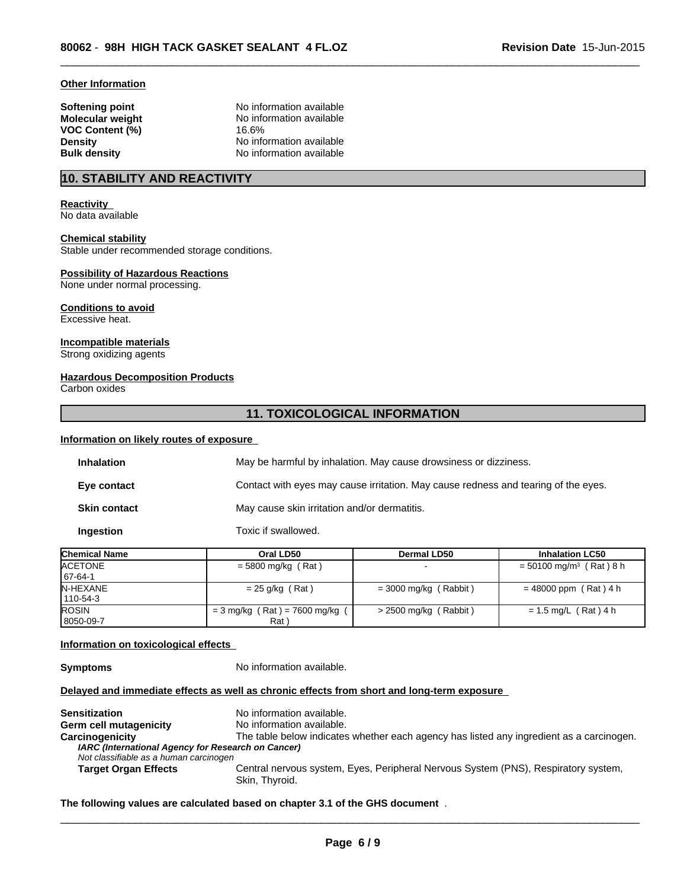#### **Other Information**

**VOC Content (%)** 16.6%

**Softening point** No information available **Molecular weight** No information available **Density No** information available **Bulk density** No information available

# **10. STABILITY AND REACTIVITY**

# **Reactivity**

No data available

## **Chemical stability**

Stable under recommended storage conditions.

#### **Possibility of Hazardous Reactions**

None under normal processing.

#### **Conditions to avoid** Excessive heat.

**Incompatible materials**

Strong oxidizing agents

# **Hazardous Decomposition Products**

Carbon oxides

# **11. TOXICOLOGICAL INFORMATION**

 $\overline{\phantom{a}}$  ,  $\overline{\phantom{a}}$  ,  $\overline{\phantom{a}}$  ,  $\overline{\phantom{a}}$  ,  $\overline{\phantom{a}}$  ,  $\overline{\phantom{a}}$  ,  $\overline{\phantom{a}}$  ,  $\overline{\phantom{a}}$  ,  $\overline{\phantom{a}}$  ,  $\overline{\phantom{a}}$  ,  $\overline{\phantom{a}}$  ,  $\overline{\phantom{a}}$  ,  $\overline{\phantom{a}}$  ,  $\overline{\phantom{a}}$  ,  $\overline{\phantom{a}}$  ,  $\overline{\phantom{a}}$ 

# **Information on likely routes of exposure**

| <b>Inhalation</b>   | May be harmful by inhalation. May cause drowsiness or dizziness.                   |
|---------------------|------------------------------------------------------------------------------------|
| Eye contact         | Contact with eyes may cause irritation. May cause redness and tearing of the eyes. |
| <b>Skin contact</b> | May cause skin irritation and/or dermatitis.                                       |
| Ingestion           | Toxic if swallowed.                                                                |

| <b>Chemical Name</b>             | Oral LD50                               | <b>Dermal LD50</b>      | <b>Inhalation LC50</b>                |
|----------------------------------|-----------------------------------------|-------------------------|---------------------------------------|
| <b>ACETONE</b><br>$167 - 64 - 1$ | $=$ 5800 mg/kg (Rat)                    |                         | $= 50100$ mg/m <sup>3</sup> (Rat) 8 h |
| <b>N-HEXANE</b><br>110-54-3      | $= 25$ g/kg (Rat)                       | $=$ 3000 mg/kg (Rabbit) | $= 48000$ ppm (Rat) 4 h               |
| <b>ROSIN</b><br>8050-09-7        | $= 3$ mg/kg (Rat) = 7600 mg/kg (<br>Rat | $>$ 2500 mg/kg (Rabbit) | $= 1.5$ mg/L (Rat) 4 h                |

#### **Information on toxicological effects**

**Symptoms** No information available.

#### **Delayed and immediate effects as well as chronic effects from short and long-term exposure**

**Sensitization** No information available. **Germ cell mutagenicity** No information available. **Carcinogenicity** The table below indicates whether each agency has listed any ingredient as a carcinogen. *IARC (International Agency for Research on Cancer) Not classifiable as a human carcinogen* **Target Organ Effects** Central nervous system, Eyes, Peripheral Nervous System (PNS), Respiratory system, Skin, Thyroid.

## **The following values are calculated based on chapter 3.1 of the GHS document** .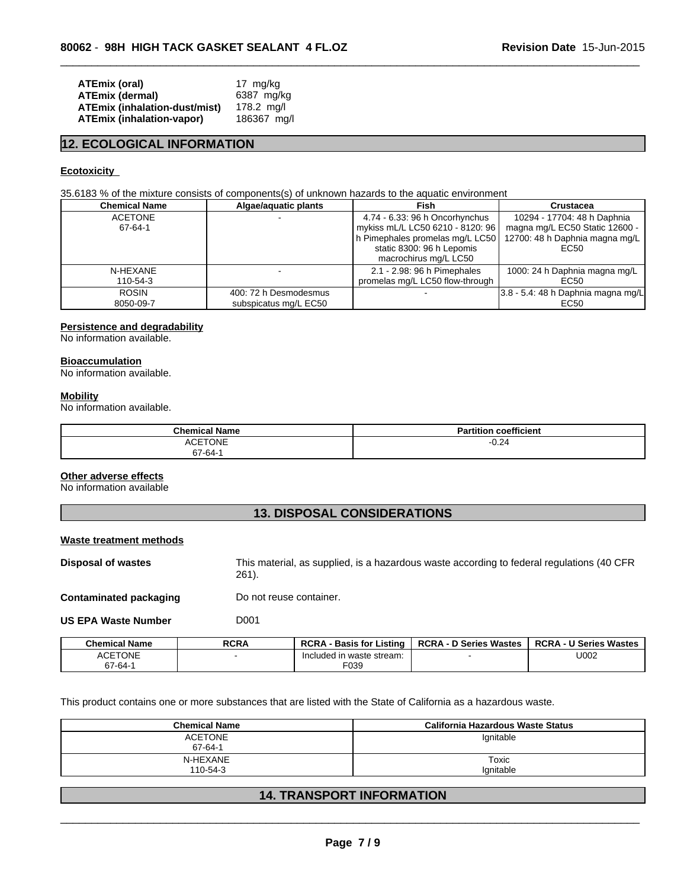| ATEmix (oral)                        | 17 mg/kg    |
|--------------------------------------|-------------|
| ATEmix (dermal)                      | 6387 mg/kg  |
| <b>ATEmix (inhalation-dust/mist)</b> | 178.2 ma/l  |
| <b>ATEmix (inhalation-vapor)</b>     | 186367 mg/l |

# **12. ECOLOGICAL INFORMATION**

#### **Ecotoxicity**

35.6183 % of the mixture consists of components(s) of unknown hazards to the aquatic environment

| <b>Chemical Name</b>      | Algae/aquatic plants  | Fish                                                                                                                                                                                         | Crustacea                                                             |
|---------------------------|-----------------------|----------------------------------------------------------------------------------------------------------------------------------------------------------------------------------------------|-----------------------------------------------------------------------|
| <b>ACETONE</b><br>67-64-1 |                       | 4.74 - 6.33: 96 h Oncorhynchus<br>mykiss mL/L LC50 6210 - 8120: 96<br>h Pimephales promelas mg/L LC50   12700: 48 h Daphnia magna mg/L<br>static 8300: 96 h Lepomis<br>macrochirus mg/L LC50 | 10294 - 17704: 48 h Daphnia<br>magna mg/L EC50 Static 12600 -<br>EC50 |
| N-HEXANE                  |                       | 2.1 - 2.98: 96 h Pimephales                                                                                                                                                                  | 1000: 24 h Daphnia magna mg/L                                         |
| 110-54-3                  |                       | promelas mg/L LC50 flow-through                                                                                                                                                              | EC50                                                                  |
| <b>ROSIN</b>              | 400: 72 h Desmodesmus |                                                                                                                                                                                              | $3.8 - 5.4$ : 48 h Daphnia magna mg/L                                 |
| 8050-09-7                 | subspicatus mg/L EC50 |                                                                                                                                                                                              | EC50                                                                  |

 $\overline{\phantom{a}}$  ,  $\overline{\phantom{a}}$  ,  $\overline{\phantom{a}}$  ,  $\overline{\phantom{a}}$  ,  $\overline{\phantom{a}}$  ,  $\overline{\phantom{a}}$  ,  $\overline{\phantom{a}}$  ,  $\overline{\phantom{a}}$  ,  $\overline{\phantom{a}}$  ,  $\overline{\phantom{a}}$  ,  $\overline{\phantom{a}}$  ,  $\overline{\phantom{a}}$  ,  $\overline{\phantom{a}}$  ,  $\overline{\phantom{a}}$  ,  $\overline{\phantom{a}}$  ,  $\overline{\phantom{a}}$ 

# **Persistence and degradability**

No information available.

## **Bioaccumulation**

No information available.

#### **Mobility**

No information available.

| <b>Chemical Name</b> | <b>Partition coefficient</b> |
|----------------------|------------------------------|
| <b>ACETONE</b>       | $-0.24$                      |
| 67-64-1              |                              |

#### **Other adverse effects**

No information available

# **13. DISPOSAL CONSIDERATIONS**

#### **Waste treatment methods**

**Disposal of wastes** This material, as supplied, is a hazardous waste according to federal regulations (40 CFR 261).

**Contaminated packaging Do not reuse container.** 

**US EPA Waste Number D001** 

| <b>Chemical Name</b>            | <b>RCRA</b> | <b>RCRA</b><br><b>Basis for Listing</b> | <b>RCRA - D Series Wastes</b> | <b>RCRA - U Series Wastes</b> |
|---------------------------------|-------------|-----------------------------------------|-------------------------------|-------------------------------|
| <b>\CETONE</b><br>$\bf{a}$<br>ᇺ |             | cluded in waste stream:<br>-Inc         |                               | U002                          |
| $67 - 64 -$                     |             | F039                                    |                               |                               |

This product contains one or more substances that are listed with the State of California as a hazardous waste.

| <b>Chemical Name</b> | California Hazardous Waste Status |
|----------------------|-----------------------------------|
| <b>ACETONE</b>       | lgnitable                         |
| 67-64-1              |                                   |
| N-HEXANE             | Toxic                             |
| 110-54-3             | Ignitable                         |

# **14. TRANSPORT INFORMATION**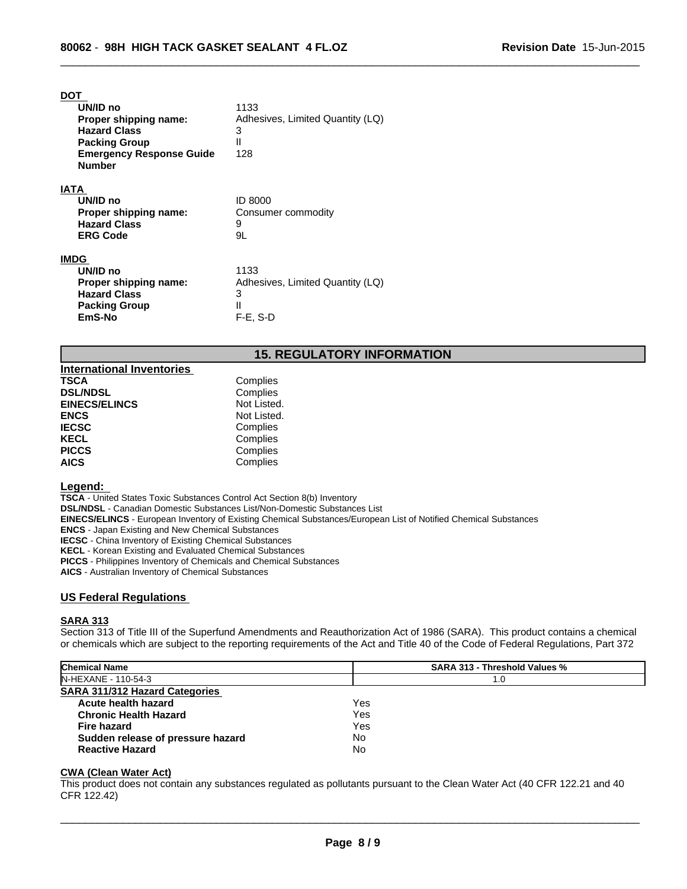## **DOT**

| UN/ID no<br>Proper shipping name:<br><b>Hazard Class</b>                                           | 1133<br>Adhesives, Limited Quantity (LQ)                                     |
|----------------------------------------------------------------------------------------------------|------------------------------------------------------------------------------|
| <b>Packing Group</b><br><b>Emergency Response Guide</b><br><b>Number</b>                           | 3<br>$\mathsf{II}$<br>128                                                    |
| IATA<br>UN/ID no<br>Proper shipping name:<br><b>Hazard Class</b><br><b>ERG Code</b>                | ID 8000<br>Consumer commodity<br>9<br>9L                                     |
| IMDG<br>UN/ID no<br>Proper shipping name:<br><b>Hazard Class</b><br><b>Packing Group</b><br>EmS-No | 1133<br>Adhesives, Limited Quantity (LQ)<br>3<br>$\mathsf{I}$<br>$F-E$ , S-D |

# **15. REGULATORY INFORMATION**

 $\overline{\phantom{a}}$  ,  $\overline{\phantom{a}}$  ,  $\overline{\phantom{a}}$  ,  $\overline{\phantom{a}}$  ,  $\overline{\phantom{a}}$  ,  $\overline{\phantom{a}}$  ,  $\overline{\phantom{a}}$  ,  $\overline{\phantom{a}}$  ,  $\overline{\phantom{a}}$  ,  $\overline{\phantom{a}}$  ,  $\overline{\phantom{a}}$  ,  $\overline{\phantom{a}}$  ,  $\overline{\phantom{a}}$  ,  $\overline{\phantom{a}}$  ,  $\overline{\phantom{a}}$  ,  $\overline{\phantom{a}}$ 

| <b>International Inventories</b> |             |  |
|----------------------------------|-------------|--|
| <b>TSCA</b>                      | Complies    |  |
| <b>DSL/NDSL</b>                  | Complies    |  |
| <b>EINECS/ELINCS</b>             | Not Listed. |  |
| <b>ENCS</b>                      | Not Listed. |  |
| <b>IECSC</b>                     | Complies    |  |
| <b>KECL</b>                      | Complies    |  |
| <b>PICCS</b>                     | Complies    |  |
| <b>AICS</b>                      | Complies    |  |

#### **Legend:**

**TSCA** - United States Toxic Substances Control Act Section 8(b) Inventory

**DSL/NDSL** - Canadian Domestic Substances List/Non-Domestic Substances List

**EINECS/ELINCS** - European Inventory of Existing Chemical Substances/European List of Notified Chemical Substances

**ENCS** - Japan Existing and New Chemical Substances

**IECSC** - China Inventory of Existing Chemical Substances

**KECL** - Korean Existing and Evaluated Chemical Substances

**PICCS** - Philippines Inventory of Chemicals and Chemical Substances

**AICS** - Australian Inventory of Chemical Substances

## **US Federal Regulations**

# **SARA 313**

Section 313 of Title III of the Superfund Amendments and Reauthorization Act of 1986 (SARA). This product contains a chemical or chemicals which are subject to the reporting requirements of the Act and Title 40 of the Code of Federal Regulations, Part 372

| <b>Chemical Name</b>                  | <b>SARA 313 - Threshold Values %</b> |
|---------------------------------------|--------------------------------------|
| IN-HEXANE - 110-54-3                  | 1.0                                  |
| <b>SARA 311/312 Hazard Categories</b> |                                      |
| Acute health hazard                   | Yes                                  |
| <b>Chronic Health Hazard</b>          | Yes                                  |
| <b>Fire hazard</b>                    | Yes                                  |
| Sudden release of pressure hazard     | No                                   |
| <b>Reactive Hazard</b>                | No                                   |

## **CWA (Clean Water Act)**

This product does not contain any substances regulated as pollutants pursuant to the Clean Water Act (40 CFR 122.21 and 40 CFR 122.42)